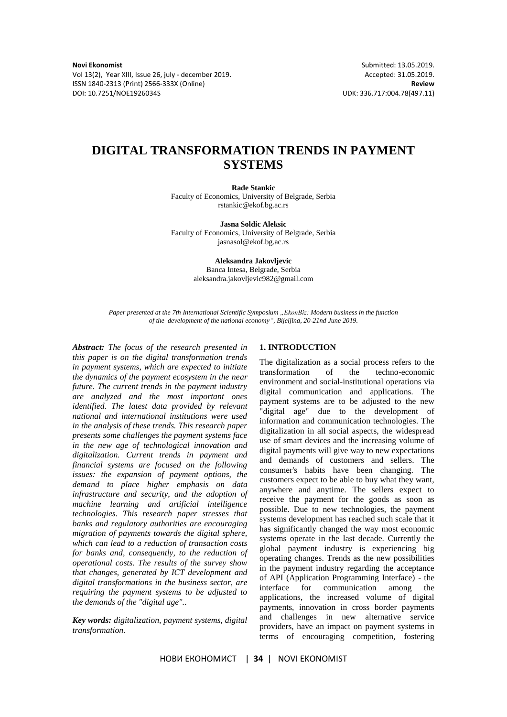Vol 13(2), Year XIII, Issue 26, july - december 2019. Accepted: 31.05.2019. ISSN 1840-2313 (Print) 2566-333X (Online) **Review**

# **DIGITAL TRANSFORMATION TRENDS IN PAYMENT SYSTEMS**

**Rade Stankic**

Faculty of Economics, University of Belgrade, Serbia rstankic@ekof.bg.ac.rs

**Jasna Soldic Aleksic** Faculty of Economics, University of Belgrade, Serbia jasnasol@ekof.bg.ac.rs

> **Aleksandra Jakovljevic** Banca Intesa, Belgrade, Serbia aleksandra.jakovljevic982@gmail.com

*Paper presented at the 7th International Scientific Symposium "EkonBiz: Modern business in the function of the development of the national economy", Bijeljina, 20-21nd June 2019.*

*Abstract: The focus of the research presented in this paper is on the digital transformation trends in payment systems, which are expected to initiate the dynamics of the payment ecosystem in the near future. The current trends in the payment industry are analyzed and the most important ones identified. The latest data provided by relevant national and international institutions were used in the analysis of these trends. This research paper presents some challenges the payment systems face in the new age of technological innovation and digitalization. Current trends in payment and financial systems are focused on the following issues: the expansion of payment options, the demand to place higher emphasis on data infrastructure and security, and the adoption of machine learning and artificial intelligence technologies. This research paper stresses that banks and regulatory authorities are encouraging migration of payments towards the digital sphere, which can lead to a reduction of transaction costs for banks and, consequently, to the reduction of operational costs. The results of the survey show that changes, generated by ICT development and digital transformations in the business sector, are requiring the payment systems to be adjusted to the demands of the "digital age"..*

*Key words: digitalization, payment systems, digital transformation.*

# **1. INTRODUCTION**

The digitalization as a social process refers to the transformation of the techno-economic environment and social-institutional operations via digital communication and applications. The payment systems are to be adjusted to the new "digital age" due to the development of information and communication technologies. The digitalization in all social aspects, the widespread use of smart devices and the increasing volume of digital payments will give way to new expectations and demands of customers and sellers. The consumer's habits have been changing. The customers expect to be able to buy what they want, anywhere and anytime. The sellers expect to receive the payment for the goods as soon as possible. Due to new technologies, the payment systems development has reached such scale that it has significantly changed the way most economic systems operate in the last decade. Currently the global payment industry is experiencing big operating changes. Trends as the new possibilities in the payment industry regarding the acceptance of API (Application Programming Interface) - the interface for communication among the applications, the increased volume of digital payments, innovation in cross border payments and challenges in new alternative service providers, have an impact on payment systems in terms of encouraging competition, fostering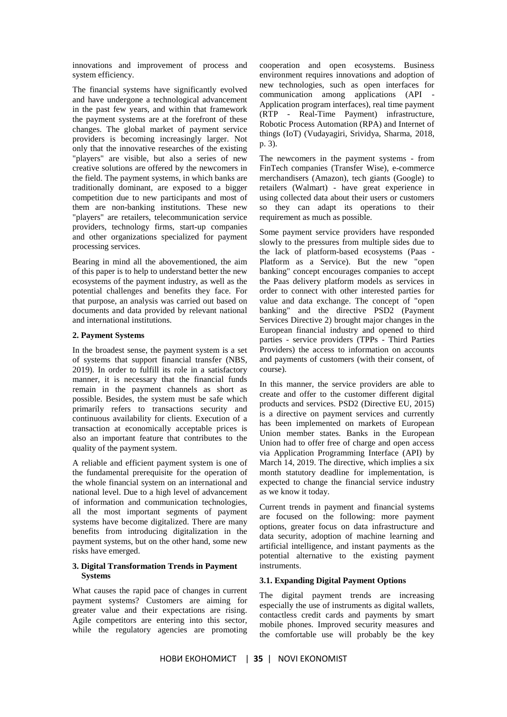innovations and improvement of process and system efficiency.

The financial systems have significantly evolved and have undergone a technological advancement in the past few years, and within that framework the payment systems are at the forefront of these changes. The global market of payment service providers is becoming increasingly larger. Not only that the innovative researches of the existing "players" are visible, but also a series of new creative solutions are offered by the newcomers in the field. The payment systems, in which banks are traditionally dominant, are exposed to a bigger competition due to new participants and most of them are non-banking institutions. These new "players" are retailers, telecommunication service providers, technology firms, start-up companies and other organizations specialized for payment processing services.

Bearing in mind all the abovementioned, the aim of this paper is to help to understand better the new ecosystems of the payment industry, as well as the potential challenges and benefits they face. For that purpose, an analysis was carried out based on documents and data provided by relevant national and international institutions.

#### **2. Payment Systems**

In the broadest sense, the payment system is a set of systems that support financial transfer (NBS, 2019). In order to fulfill its role in a satisfactory manner, it is necessary that the financial funds remain in the payment channels as short as possible. Besides, the system must be safe which primarily refers to transactions security and continuous availability for clients. Execution of a transaction at economically acceptable prices is also an important feature that contributes to the quality of the payment system.

A reliable and efficient payment system is one of the fundamental prerequisite for the operation of the whole financial system on an international and national level. Due to a high level of advancement of information and communication technologies, all the most important segments of payment systems have become digitalized. There are many benefits from introducing digitalization in the payment systems, but on the other hand, some new risks have emerged.

# **3. Digital Transformation Trends in Payment Systems**

What causes the rapid pace of changes in current payment systems? Customers are aiming for greater value and their expectations are rising. Agile competitors are entering into this sector, while the regulatory agencies are promoting

cooperation and open ecosystems. Business environment requires innovations and adoption of new technologies, such as open interfaces for communication among applications (API Application program interfaces), real time payment (RTP - Real-Time Payment) infrastructure, Robotic Process Automation (RPA) and Internet of things (IoT) (Vudayagiri, Srividya, Sharma, 2018, p. 3).

The newcomers in the payment systems - from FinTech companies (Transfer Wise), e-commerce merchandisers (Amazon), tech giants (Google) to retailers (Walmart) - have great experience in using collected data about their users or customers so they can adapt its operations to their requirement as much as possible.

Some payment service providers have responded slowly to the pressures from multiple sides due to the lack of platform-based ecosystems (Paas - Platform as a Service). But the new "open banking" concept encourages companies to accept the Paas delivery platform models as services in order to connect with other interested parties for value and data exchange. The concept of "open banking" and the directive PSD2 (Payment Services Directive 2) brought major changes in the European financial industry and opened to third parties - service providers (TPPs - Third Parties Providers) the access to information on accounts and payments of customers (with their consent, of course).

In this manner, the service providers are able to create and offer to the customer different digital products and services. PSD2 (Directive EU, 2015) is a directive on payment services and currently has been implemented on markets of European Union member states. Banks in the European Union had to offer free of charge and open access via Application Programming Interface (API) by March 14, 2019. The directive, which implies a six month statutory deadline for implementation, is expected to change the financial service industry as we know it today.

Current trends in payment and financial systems are focused on the following: more payment options, greater focus on data infrastructure and data security, adoption of machine learning and artificial intelligence, and instant payments as the potential alternative to the existing payment instruments.

# **3.1. Expanding Digital Payment Options**

The digital payment trends are increasing especially the use of instruments as digital wallets, contactless credit cards and payments by smart mobile phones. Improved security measures and the comfortable use will probably be the key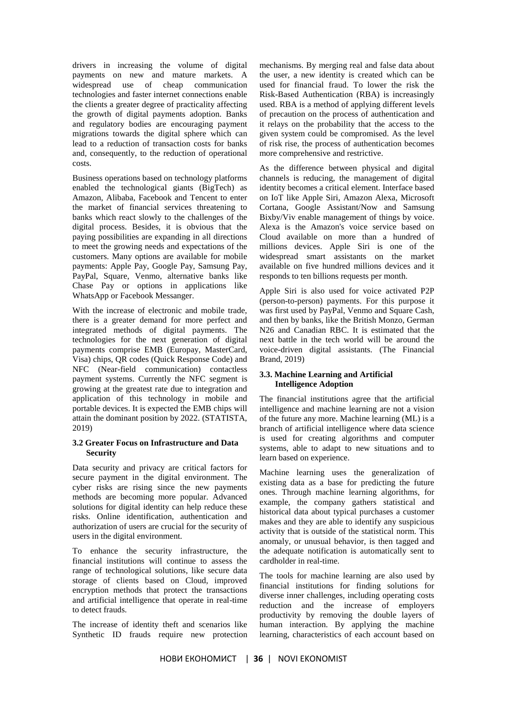drivers in increasing the volume of digital payments on new and mature markets. A widespread use of cheap communication technologies and faster internet connections enable the clients a greater degree of practicality affecting the growth of digital payments adoption. Banks and regulatory bodies are encouraging payment migrations towards the digital sphere which can lead to a reduction of transaction costs for banks and, consequently, to the reduction of operational costs.

Business operations based on technology platforms enabled the technological giants (BigTech) as Amazon, Alibaba, Facebook and Tencent to enter the market of financial services threatening to banks which react slowly to the challenges of the digital process. Besides, it is obvious that the paying possibilities are expanding in all directions to meet the growing needs and expectations of the customers. Many options are available for mobile payments: Apple Pay, Google Pay, Samsung Pay, PayPal, Square, Venmo, alternative banks like Chase Pay or options in applications like WhatsApp or Facebook Messanger.

With the increase of electronic and mobile trade, there is a greater demand for more perfect and integrated methods of digital payments. The technologies for the next generation of digital payments comprise EMB (Europay, MasterCard, Visa) chips, QR codes (Quick Response Code) and NFC (Near-field communication) contactless payment systems. Currently the NFC segment is growing at the greatest rate due to integration and application of this technology in mobile and portable devices. It is expected the EMB chips will attain the dominant position by 2022. (STATISTA, 2019)

#### **3.2 Greater Focus on Infrastructure and Data Security**

Data security and privacy are critical factors for secure payment in the digital environment. The cyber risks are rising since the new payments methods are becoming more popular. Advanced solutions for digital identity can help reduce these risks. Online identification, authentication and authorization of users are crucial for the security of users in the digital environment.

To enhance the security infrastructure, the financial institutions will continue to assess the range of technological solutions, like secure data storage of clients based on Cloud, improved encryption methods that protect the transactions and artificial intelligence that operate in real-time to detect frauds.

The increase of identity theft and scenarios like Synthetic ID frauds require new protection

mechanisms. By merging real and false data about the user, a new identity is created which can be used for financial fraud. To lower the risk the Risk-Based Authentication (RBA) is increasingly used. RBA is a method of applying different levels of precaution on the process of authentication and it relays on the probability that the access to the given system could be compromised. As the level of risk rise, the process of authentication becomes more comprehensive and restrictive.

As the difference between physical and digital channels is reducing, the management of digital identity becomes a critical element. Interface based on IoT like Apple Siri, Amazon Alexa, Microsoft Cortana, Google Assistant/Now and Samsung Bixby/Viv enable management of things by voice. Alexa is the Amazon's voice service based on Cloud available on more than a hundred of millions devices. Apple Siri is one of the widespread smart assistants on the market available on five hundred millions devices and it responds to ten billions requests per month.

Apple Siri is also used for voice activated P2P (person-to-person) payments. For this purpose it was first used by PayPal, Venmo and Square Cash, and then by banks, like the British Monzo, German N26 and Canadian RBC. It is estimated that the next battle in the tech world will be around the voice-driven digital assistants. (The Financial Brand, 2019)

#### **3.3. Machine Learning and Artificial Intelligence Adoption**

The financial institutions agree that the artificial intelligence and machine learning are not a vision of the future any more. Machine learning (ML) is a branch of artificial intelligence where data science is used for creating algorithms and computer systems, able to adapt to new situations and to learn based on experience.

Machine learning uses the generalization of existing data as a base for predicting the future ones. Through machine learning algorithms, for example, the company gathers statistical and historical data about typical purchases a customer makes and they are able to identify any suspicious activity that is outside of the statistical norm. This anomaly, or unusual behavior, is then tagged and the adequate notification is automatically sent to cardholder in real-time.

The tools for machine learning are also used by financial institutions for finding solutions for diverse inner challenges, including operating costs reduction and the increase of employers productivity by removing the double layers of human interaction. By applying the machine learning, characteristics of each account based on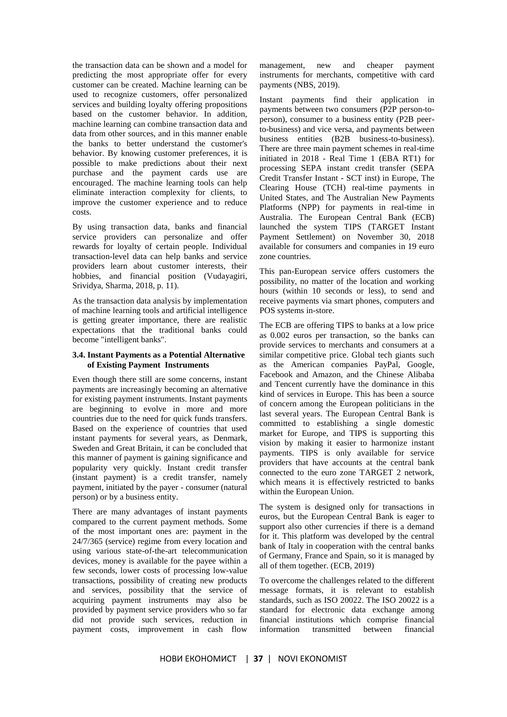the transaction data can be shown and a model for predicting the most appropriate offer for every customer can be created. Machine learning can be used to recognize customers, offer personalized services and building loyalty offering propositions based on the customer behavior. In addition, machine learning can combine transaction data and data from other sources, and in this manner enable the banks to better understand the customer's behavior. By knowing customer preferences, it is possible to make predictions about their next purchase and the payment cards use are encouraged. The machine learning tools can help eliminate interaction complexity for clients, to improve the customer experience and to reduce costs.

By using transaction data, banks and financial service providers can personalize and offer rewards for loyalty of certain people. Individual transaction-level data can help banks and service providers learn about customer interests, their hobbies, and financial position (Vudayagiri, Srividya, Sharma, 2018, p. 11).

As the transaction data analysis by implementation of machine learning tools and artificial intelligence is getting greater importance, there are realistic expectations that the traditional banks could become "intelligent banks".

#### **3.4. Instant Payments as a Potential Alternative of Existing Payment Instruments**

Even though there still are some concerns, instant payments are increasingly becoming an alternative for existing payment instruments. Instant payments are beginning to evolve in more and more countries due to the need for quick funds transfers. Based on the experience of countries that used instant payments for several years, as Denmark, Sweden and Great Britain, it can be concluded that this manner of payment is gaining significance and popularity very quickly. Instant credit transfer (instant payment) is a credit transfer, namely payment, initiated by the payer - consumer (natural person) or by a business entity.

There are many advantages of instant payments compared to the current payment methods. Some of the most important ones are: payment in the 24/7/365 (service) regime from every location and using various state-of-the-art telecommunication devices, money is available for the payee within a few seconds, lower costs of processing low-value transactions, possibility of creating new products and services, possibility that the service of acquiring payment instruments may also be provided by payment service providers who so far did not provide such services, reduction in payment costs, improvement in cash flow

management, new and cheaper payment instruments for merchants, competitive with card payments (NBS, 2019).

Instant payments find their application in payments between two consumers (P2P person-toperson), consumer to a business entity (P2B peerto-business) and vice versa, and payments between business entities (B2B business-to-business). There are three main payment schemes in real-time initiated in 2018 - Real Time 1 (EBA RT1) for processing SEPA instant credit transfer (SEPA Credit Transfer Instant - SCT inst) in Europe, The Clearing House (TCH) real-time payments in United States, and The Australian New Payments Platforms (NPP) for payments in real-time in Australia. The European Central Bank (ECB) launched the system TIPS (TARGET Instant Payment Settlement) on November 30, 2018 available for consumers and companies in 19 euro zone countries.

This pan-European service offers customers the possibility, no matter of the location and working hours (within 10 seconds or less), to send and receive payments via smart phones, computers and POS systems in-store.

The ECB are offering TIPS to banks at a low price as 0.002 euros per transaction, so the banks can provide services to merchants and consumers at a similar competitive price. Global tech giants such as the American companies PayPal, Google, Facebook and Amazon, and the Chinese Alibaba and Tencent currently have the dominance in this kind of services in Europe. This has been a source of concern among the European politicians in the last several years. The European Central Bank is committed to establishing a single domestic market for Europe, and TIPS is supporting this vision by making it easier to harmonize instant payments. TIPS is only available for service providers that have accounts at the central bank connected to the euro zone TARGET 2 network, which means it is effectively restricted to banks within the European Union.

The system is designed only for transactions in euros, but the European Central Bank is eager to support also other currencies if there is a demand for it. This platform was developed by the central bank of Italy in cooperation with the central banks of Germany, France and Spain, so it is managed by all of them together. (ECB, 2019)

To overcome the challenges related to the different message formats, it is relevant to establish standards, such as ISO 20022. The ISO 20022 is a standard for electronic data exchange among financial institutions which comprise financial information transmitted between financial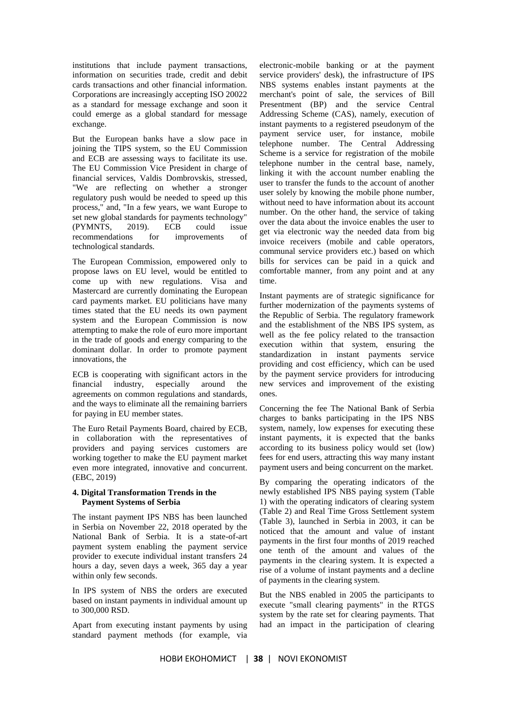institutions that include payment transactions, information on securities trade, credit and debit cards transactions and other financial information. Corporations are increasingly accepting ISO 20022 as a standard for message exchange and soon it could emerge as a global standard for message exchange.

But the European banks have a slow pace in joining the TIPS system, so the EU Commission and ECB are assessing ways to facilitate its use. The EU Commission Vice President in charge of financial services, Valdis Dombrovskis, stressed, "We are reflecting on whether a stronger regulatory push would be needed to speed up this process," and, "In a few years, we want Europe to set new global standards for payments technology" (PYMNTS, 2019). ECB could issue recommendations for improvements of technological standards.

The European Commission, empowered only to propose laws on EU level, would be entitled to come up with new regulations. Visa and Mastercard are currently dominating the European card payments market. EU politicians have many times stated that the EU needs its own payment system and the European Commission is now attempting to make the role of euro more important in the trade of goods and energy comparing to the dominant dollar. In order to promote payment innovations, the

ECB is cooperating with significant actors in the financial industry, especially around the agreements on common regulations and standards, and the ways to eliminate all the remaining barriers for paying in EU member states.

The Euro Retail Payments Board, chaired by ECB, in collaboration with the representatives of providers and paying services customers are working together to make the EU payment market even more integrated, innovative and concurrent. (EBC, 2019)

### **4. Digital Transformation Trends in the Payment Systems of Serbia**

The instant payment IPS NBS has been launched in Serbia on November 22, 2018 operated by the National Bank of Serbia. It is a state-of-art payment system enabling the payment service provider to execute individual instant transfers 24 hours a day, seven days a week, 365 day a year within only few seconds.

In IPS system of NBS the orders are executed based on instant payments in individual amount up to 300,000 RSD.

Apart from executing instant payments by using standard payment methods (for example, via

electronic-mobile banking or at the payment service providers' desk), the infrastructure of IPS NBS systems enables instant payments at the merchant's point of sale, the services of Bill Presentment (BP) and the service Central Addressing Scheme (CAS), namely, execution of instant payments to a registered pseudonym of the payment service user, for instance, mobile telephone number. The Central Addressing Scheme is a service for registration of the mobile telephone number in the central base, namely, linking it with the account number enabling the user to transfer the funds to the account of another user solely by knowing the mobile phone number, without need to have information about its account number. On the other hand, the service of taking over the data about the invoice enables the user to get via electronic way the needed data from big invoice receivers (mobile and cable operators, communal service providers etc.) based on which bills for services can be paid in a quick and comfortable manner, from any point and at any time.

Instant payments are of strategic significance for further modernization of the payments systems of the Republic of Serbia. The regulatory framework and the establishment of the NBS IPS system, as well as the fee policy related to the transaction execution within that system, ensuring the standardization in instant payments service providing and cost efficiency, which can be used by the payment service providers for introducing new services and improvement of the existing ones.

Concerning the fee The National Bank of Serbia charges to banks participating in the IPS NBS system, namely, low expenses for executing these instant payments, it is expected that the banks according to its business policy would set (low) fees for end users, attracting this way many instant payment users and being concurrent on the market.

By comparing the operating indicators of the newly established IPS NBS paying system (Table 1) with the operating indicators of clearing system (Table 2) and Real Time Gross Settlement system (Table 3), launched in Serbia in 2003, it can be noticed that the amount and value of instant payments in the first four months of 2019 reached one tenth of the amount and values of the payments in the clearing system. It is expected a rise of a volume of instant payments and a decline of payments in the clearing system.

But the NBS enabled in 2005 the participants to execute "small clearing payments" in the RTGS system by the rate set for clearing payments. That had an impact in the participation of clearing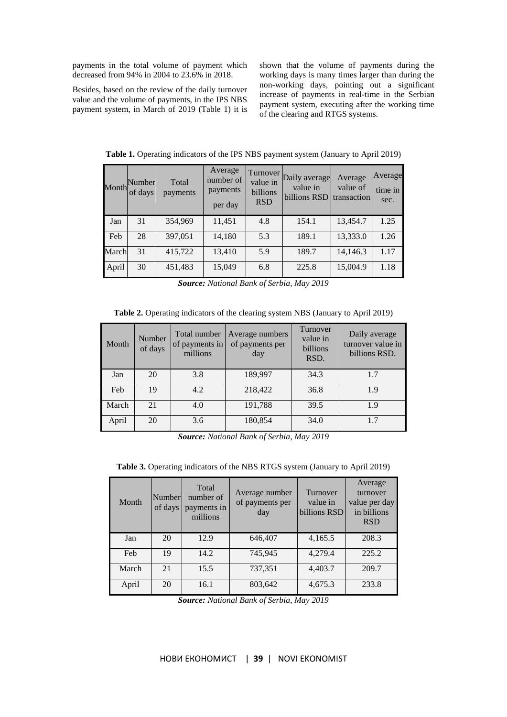payments in the total volume of payment which decreased from 94% in 2004 to 23.6% in 2018.

Besides, based on the review of the daily turnover value and the volume of payments, in the IPS NBS payment system, in March of 2019 (Table 1) it is shown that the volume of payments during the working days is many times larger than during the non-working days, pointing out a significant increase of payments in real-time in the Serbian payment system, executing after the working time of the clearing and RTGS systems.

|       | Month Number<br>of days | Total<br>payments | Average<br>number of<br>payments<br>per day | <b>Turnover</b><br>value in<br>billions<br><b>RSD</b> | Daily average<br>value in<br>billions RSD | Average<br>value of<br>transaction | Average<br>time in<br>sec. |
|-------|-------------------------|-------------------|---------------------------------------------|-------------------------------------------------------|-------------------------------------------|------------------------------------|----------------------------|
| Jan   | 31                      | 354,969           | 11,451                                      | 4.8                                                   | 154.1                                     | 13,454.7                           | 1.25                       |
| Feb   | 28                      | 397,051           | 14,180                                      | 5.3                                                   | 189.1                                     | 13,333.0                           | 1.26                       |
| March | 31                      | 415,722           | 13,410                                      | 5.9                                                   | 189.7                                     | 14,146.3                           | 1.17                       |
| April | 30                      | 451,483           | 15,049                                      | 6.8                                                   | 225.8                                     | 15,004.9                           | 1.18                       |

**Table 1.** Operating indicators of the IPS NBS payment system (January to April 2019)

*Source: National Bank of Serbia, May 2019*

**Table 2.** Operating indicators of the clearing system NBS (January to April 2019)

| Month | Number<br>of days | Total number<br>of payments in<br>millions | Average numbers<br>of payments per<br>day | Turnover<br>value in<br>billions<br>RSD. | Daily average<br>turnover value in<br>billions RSD. |
|-------|-------------------|--------------------------------------------|-------------------------------------------|------------------------------------------|-----------------------------------------------------|
| Jan   | 20                | 3.8                                        | 189,997                                   | 34.3                                     | 1.7                                                 |
| Feb   | 19                | 4.2                                        | 218,422                                   | 36.8                                     | 1.9                                                 |
| March | 21                | 4.0                                        | 191,788                                   | 39.5                                     | 1.9                                                 |
| April | 20                | 3.6                                        | 180,854                                   | 34.0                                     | 1.7                                                 |

*Source: National Bank of Serbia, May 2019*

**Table 3.** Operating indicators of the NBS RTGS system (January to April 2019)

| Month | Number<br>of days | Total<br>number of<br>payments in<br>millions | Average number<br>of payments per<br>day | Turnover<br>value in<br>billions RSD | Average<br>turnover<br>value per day<br>in billions<br><b>RSD</b> |
|-------|-------------------|-----------------------------------------------|------------------------------------------|--------------------------------------|-------------------------------------------------------------------|
| Jan   | 20                | 12.9                                          | 646,407                                  | 4,165.5                              | 208.3                                                             |
| Feb   | 19                | 14.2                                          | 745,945                                  | 4,279.4                              | 225.2                                                             |
| March | 21                | 15.5                                          | 737,351                                  | 4,403.7                              | 209.7                                                             |
| April | 20                | 16.1                                          | 803,642                                  | 4,675.3                              | 233.8                                                             |

*Source: National Bank of Serbia, May 2019*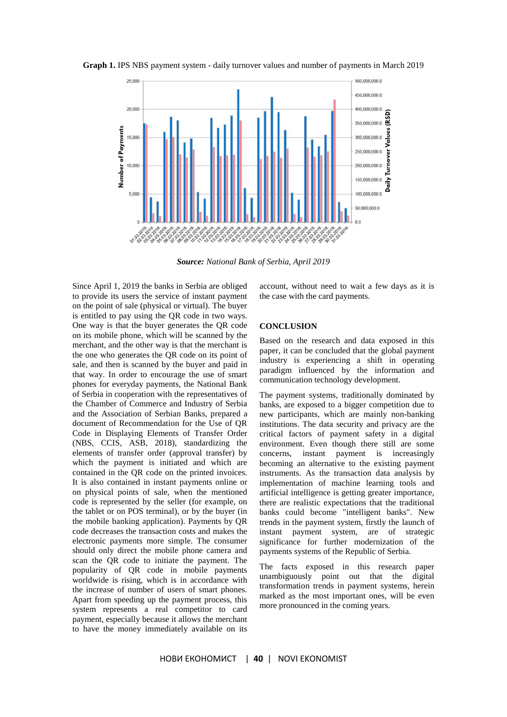

**Graph 1.** IPS NBS payment system - daily turnover values and number of payments in March 2019

*Source: National Bank of Serbia, April 2019*

Since April 1, 2019 the banks in Serbia are obliged to provide its users the service of instant payment on the point of sale (physical or virtual). The buyer is entitled to pay using the QR code in two ways. One way is that the buyer generates the QR code on its mobile phone, which will be scanned by the merchant, and the other way is that the merchant is the one who generates the QR code on its point of sale, and then is scanned by the buyer and paid in that way. In order to encourage the use of smart phones for everyday payments, the National Bank of Serbia in cooperation with the representatives of the Chamber of Commerce and Industry of Serbia and the Association of Serbian Banks, prepared a document of Recommendation for the Use of QR Code in Displaying Elements of Transfer Order (NBS, CCIS, ASB, 2018), standardizing the elements of transfer order (approval transfer) by which the payment is initiated and which are contained in the QR code on the printed invoices. It is also contained in instant payments online or on physical points of sale, when the mentioned code is represented by the seller (for example, on the tablet or on POS terminal), or by the buyer (in the mobile banking application). Payments by QR code decreases the transaction costs and makes the electronic payments more simple. The consumer should only direct the mobile phone camera and scan the QR code to initiate the payment. The popularity of QR code in mobile payments worldwide is rising, which is in accordance with the increase of number of users of smart phones. Apart from speeding up the payment process, this system represents a real competitor to card payment, especially because it allows the merchant to have the money immediately available on its

account, without need to wait a few days as it is the case with the card payments.

#### **CONCLUSION**

Based on the research and data exposed in this paper, it can be concluded that the global payment industry is experiencing a shift in operating paradigm influenced by the information and communication technology development.

The payment systems, traditionally dominated by banks, are exposed to a bigger competition due to new participants, which are mainly non-banking institutions. The data security and privacy are the critical factors of payment safety in a digital environment. Even though there still are some concerns, instant payment is increasingly becoming an alternative to the existing payment instruments. As the transaction data analysis by implementation of machine learning tools and artificial intelligence is getting greater importance, there are realistic expectations that the traditional banks could become "intelligent banks". New trends in the payment system, firstly the launch of instant payment system, are of strategic significance for further modernization of the payments systems of the Republic of Serbia.

The facts exposed in this research paper unambiguously point out that the digital transformation trends in payment systems, herein marked as the most important ones, will be even more pronounced in the coming years.